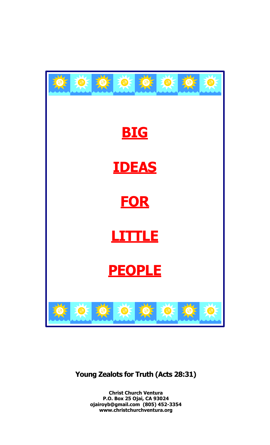

# **Young Zealots for Truth (Acts 28:31)**

**Christ Church Ventura P.O. Box 25 Ojai, CA 93024 ojairoyb@gmail.com (805) 452-3354 www.christchurchventura.org**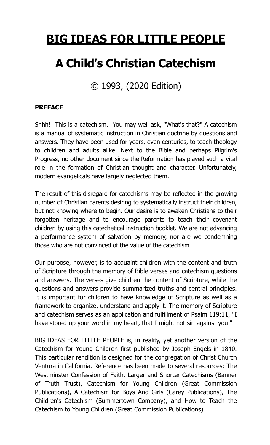# **BIG IDEAS FOR LITTLE PEOPLE**

# **A Child's Christian Catechism**

© 1993, (2020 Edition)

# **PREFACE**

Shhh! This is a catechism. You may well ask, "What's that?" A catechism is a manual of systematic instruction in Christian doctrine by questions and answers. They have been used for years, even centuries, to teach theology to children and adults alike. Next to the Bible and perhaps Pilgrim's Progress, no other document since the Reformation has played such a vital role in the formation of Christian thought and character. Unfortunately, modern evangelicals have largely neglected them.

The result of this disregard for catechisms may be reflected in the growing number of Christian parents desiring to systematically instruct their children, but not knowing where to begin. Our desire is to awaken Christians to their forgotten heritage and to encourage parents to teach their covenant children by using this catechetical instruction booklet. We are not advancing a performance system of salvation by memory, nor are we condemning those who are not convinced of the value of the catechism.

Our purpose, however, is to acquaint children with the content and truth of Scripture through the memory of Bible verses and catechism questions and answers. The verses give children the content of Scripture, while the questions and answers provide summarized truths and central principles. It is important for children to have knowledge of Scripture as well as a framework to organize, understand and apply it. The memory of Scripture and catechism serves as an application and fulfillment of Psalm 119:11, "I have stored up your word in my heart, that I might not sin against you."

BIG IDEAS FOR LITTLE PEOPLE is, in reality, yet another version of the Catechism for Young Children first published by Joseph Engels in 1840. This particular rendition is designed for the congregation of Christ Church Ventura in California. Reference has been made to several resources: The Westminster Confession of Faith, Larger and Shorter Catechisms (Banner of Truth Trust), Catechism for Young Children (Great Commission Publications), A Catechism for Boys And Girls (Carey Publications), The Children's Catechism (Summertown Company), and How to Teach the Catechism to Young Children (Great Commission Publications).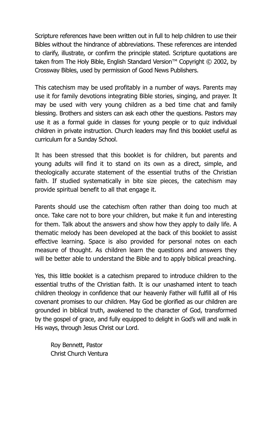Scripture references have been written out in full to help children to use their Bibles without the hindrance of abbreviations. These references are intended to clarify, illustrate, or confirm the principle stated. Scripture quotations are taken from The Holy Bible, English Standard Version™ Copyright © 2002, by Crossway Bibles, used by permission of Good News Publishers.

This catechism may be used profitably in a number of ways. Parents may use it for family devotions integrating Bible stories, singing, and prayer. It may be used with very young children as a bed time chat and family blessing. Brothers and sisters can ask each other the questions. Pastors may use it as a formal guide in classes for young people or to quiz individual children in private instruction. Church leaders may find this booklet useful as curriculum for a Sunday School.

It has been stressed that this booklet is for children, but parents and young adults will find it to stand on its own as a direct, simple, and theologically accurate statement of the essential truths of the Christian faith. If studied systematically in bite size pieces, the catechism may provide spiritual benefit to all that engage it.

Parents should use the catechism often rather than doing too much at once. Take care not to bore your children, but make it fun and interesting for them. Talk about the answers and show how they apply to daily life. A thematic melody has been developed at the back of this booklet to assist effective learning. Space is also provided for personal notes on each measure of thought. As children learn the questions and answers they will be better able to understand the Bible and to apply biblical preaching.

Yes, this little booklet is a catechism prepared to introduce children to the essential truths of the Christian faith. It is our unashamed intent to teach children theology in confidence that our heavenly Father will fulfill all of His covenant promises to our children. May God be glorified as our children are grounded in biblical truth, awakened to the character of God, transformed by the gospel of grace, and fully equipped to delight in God's will and walk in His ways, through Jesus Christ our Lord.

 Roy Bennett, Pastor Christ Church Ventura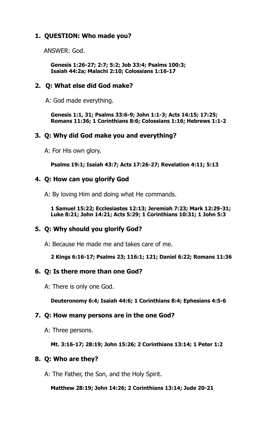# **1. QUESTION: Who made you?**

ANSWER: God.

 **Genesis 1:26-27; 2:7; 5:2; Job 33:4; Psalms 100:3; Isaiah 44:2a; Malachi 2:10; Colossians 1:16-17**

# **2. Q: What else did God make?**

A: God made everything.

 **Genesis 1:1, 31; Psalms 33:6-9; John 1:1-3; Acts 14:15; 17:25; Romans 11:36; 1 Corinthians 8:6; Colossians 1:16; Hebrews 1:1-2**

# **3. Q: Why did God make you and everything?**

A: For His own glory.

**Psalms 19:1; Isaiah 43:7; Acts 17:26-27; Revelation 4:11; 5:13** 

# **4. Q: How can you glorify God**

A: By loving Him and doing what He commands.

**1 Samuel 15:22; Ecclesiastes 12:13; Jeremiah 7:23; Mark 12:29-31; Luke 8:21; John 14:21; Acts 5:29; 1 Corinthians 10:31; 1 John 5:3** 

# **5. Q: Why should you glorify God?**

A: Because He made me and takes care of me.

 **2 Kings 6:16-17; Psalms 23; 116:1; 121; Daniel 6:22; Romans 11:36** 

# **6. Q: Is there more than one God?**

A: There is only one God.

 **Deuteronomy 6:4; Isaiah 44:6; 1 Corinthians 8:4; Ephesians 4:5-6** 

# **7. Q: How many persons are in the one God?**

A: Three persons.

#### **Mt. 3:16-17; 28:19; John 15:26; 2 Corinthians 13:14; 1 Peter 1:2**

# **8. Q: Who are they?**

A: The Father, the Son, and the Holy Spirit.

 **Matthew 28:19; John 14:26; 2 Corinthians 13:14; Jude 20-21**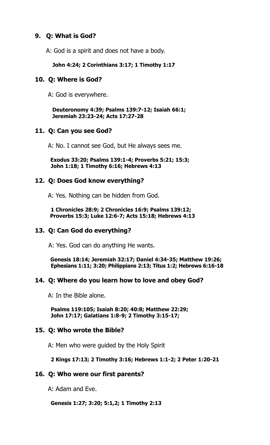# **9. Q: What is God?**

A: God is a spirit and does not have a body.

#### **John 4:24; 2 Corinthians 3:17; 1 Timothy 1:17**

#### **10. Q: Where is God?**

A: God is everywhere.

 **Deuteronomy 4:39; Psalms 139:7-12; Isaiah 66:1; Jeremiah 23:23-24; Acts 17:27-28** 

# **11. Q: Can you see God?**

A: No. I cannot see God, but He always sees me.

 **Exodus 33:20; Psalms 139:1-4; Proverbs 5:21; 15:3; John 1:18; 1 Timothy 6:16; Hebrews 4:13** 

#### **12. Q: Does God know everything?**

A: Yes. Nothing can be hidden from God.

**1 Chronicles 28:9; 2 Chronicles 16:9; Psalms 139:12; Proverbs 15:3; Luke 12:6-7; Acts 15:18; Hebrews 4:13** 

# **13. Q: Can God do everything?**

A: Yes. God can do anything He wants.

 **Genesis 18:14; Jeremiah 32:17; Daniel 4:34-35; Matthew 19:26; Ephesians 1:11; 3:20; Philippians 2:13; Titus 1:2; Hebrews 6:16-18**

# **14. Q: Where do you learn how to love and obey God?**

A: In the Bible alone.

 **Psalms 119:105; Isaiah 8:20; 40:8; Matthew 22:29; John 17:17; Galatians 1:8-9; 2 Timothy 3:15-17;** 

# **15. Q: Who wrote the Bible?**

A: Men who were guided by the Holy Spirit

#### **2 Kings 17:13; 2 Timothy 3:16; Hebrews 1:1-2; 2 Peter 1:20-21**

#### **16. Q: Who were our first parents?**

A: Adam and Eve.

#### **Genesis 1:27; 3:20; 5:1,2; 1 Timothy 2:13**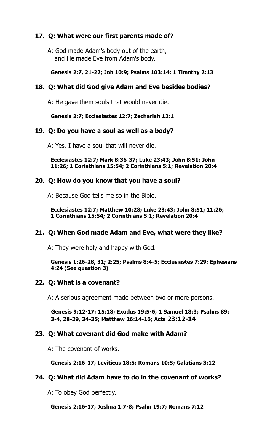# **17. Q: What were our first parents made of?**

A: God made Adam's body out of the earth, and He made Eve from Adam's body.

#### **Genesis 2:7, 21-22; Job 10:9; Psalms 103:14; 1 Timothy 2:13**

# **18. Q: What did God give Adam and Eve besides bodies?**

A: He gave them souls that would never die.

 **Genesis 2:7; Ecclesiastes 12:7; Zechariah 12:1**

# **19. Q: Do you have a soul as well as a body?**

A: Yes, I have a soul that will never die.

 **Ecclesiastes 12:7; Mark 8:36-37; Luke 23:43; John 8:51; John 11:26; 1 Corinthians 15:54; 2 Corinthians 5:1; Revelation 20:4** 

# **20. Q: How do you know that you have a soul?**

A: Because God tells me so in the Bible.

 **Ecclesiastes 12:7; Matthew 10:28; Luke 23:43; John 8:51; 11:26; 1 Corinthians 15:54; 2 Corinthians 5:1; Revelation 20:4** 

# **21. Q: When God made Adam and Eve, what were they like?**

A: They were holy and happy with God.

**Genesis 1:26-28, 31; 2:25; Psalms 8:4-5; Ecclesiastes 7:29; Ephesians 4:24 (See question 3)** 

# **22. Q: What is a covenant?**

A: A serious agreement made between two or more persons.

**Genesis 9:12-17; 15:18; Exodus 19:5-6; 1 Samuel 18:3; Psalms 89: 3-4, 28-29, 34-35; Matthew 26:14-16; Acts 23:12-14** 

# **23. Q: What covenant did God make with Adam?**

A: The covenant of works.

 **Genesis 2:16-17; Leviticus 18:5; Romans 10:5; Galatians 3:12**

# **24. Q: What did Adam have to do in the covenant of works?**

A: To obey God perfectly.

 **Genesis 2:16-17; Joshua 1:7-8; Psalm 19:7; Romans 7:12**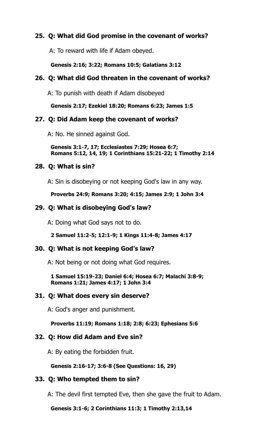# **25. Q: What did God promise in the covenant of works?**

A: To reward with life if Adam obeyed.

#### **Genesis 2:16; 3:22; Romans 10:5; Galatians 3:12**

# **26. Q: What did God threaten in the covenant of works?**

A: To punish with death if Adam disobeyed

 **Genesis 2:17; Ezekiel 18:20; Romans 6:23; James 1:5** 

# **27. Q: Did Adam keep the covenant of works?**

A: No. He sinned against God.

 **Genesis 3:1-7, 17; Ecclesiastes 7:29; Hosea 6:7; Romans 5:12, 14, 19; 1 Corinthians 15:21-22; 1 Timothy 2:14**

# **28. Q: What is sin?**

A: Sin is disobeying or not keeping God's law in any way.

 **Proverbs 24:9; Romans 3:20; 4:15; James 2:9; 1 John 3:4** 

# **29. Q: What is disobeying God's law?**

A: Doing what God says not to do.

 **2 Samuel 11:2-5; 12:1-9; 1 Kings 11:4-8; James 4:17**

# **30. Q: What is not keeping God's law?**

A: Not being or not doing what God requires.

 **1 Samuel 15:19-23; Daniel 6:4; Hosea 6:7; Malachi 3:8-9; Romans 1:21; James 4:17; 1 John 3:4** 

# **31. Q: What does every sin deserve?**

A: God's anger and punishment.

 **Proverbs 11:19; Romans 1:18; 2:8; 6:23; Ephesians 5:6** 

# **32. Q: How did Adam and Eve sin?**

A: By eating the forbidden fruit.

# **Genesis 2:16-17; 3:6-8 (See Questions: 16, 29)**

# **33. Q: Who tempted them to sin?**

A: The devil first tempted Eve, then she gave the fruit to Adam.

 **Genesis 3:1-6; 2 Corinthians 11:3; 1 Timothy 2:13,14**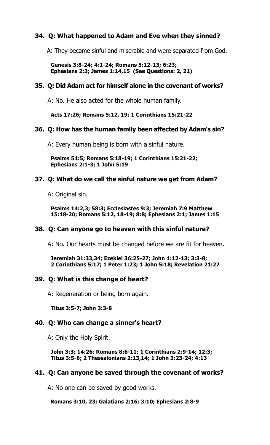# **34. Q: What happened to Adam and Eve when they sinned?**

A: They became sinful and miserable and were separated from God.

 **Genesis 3:8-24; 4:1-24; Romans 5:12-13; 6:23; Ephesians 2:3; James 1:14,15 (See Questions: 2, 21)** 

#### **35. Q: Did Adam act for himself alone in the covenant of works?**

A: No. He also acted for the whole human family.

 **Acts 17:26; Romans 5:12, 19; 1 Corinthians 15:21-22**

#### **36. Q: How has the human family been affected by Adam's sin?**

A: Every human being is born with a sinful nature.

 **Psalms 51:5; Romans 5:18-19; 1 Corinthians 15:21-22; Ephesians 2:1-3; 1 John 5:19** 

#### **37. Q: What do we call the sinful nature we get from Adam?**

A: Original sin.

 **Psalms 14:2,3; 58:3; Ecclesiastes 9:3; Jeremiah 7:9 Matthew 15:18-20; Romans 5:12, 18-19; 8:8; Ephesians 2:1; James 1:15** 

# **38. Q: Can anyone go to heaven with this sinful nature?**

A: No. Our hearts must be changed before we are fit for heaven.

 **Jeremiah 31:33,34; Ezekiel 36:25-27; John 1:12-13; 3:3-8; 2 Corinthians 5:17; 1 Peter 1:23; 1 John 5:18; Revelation 21:27** 

#### **39. Q: What is this change of heart?**

A: Regeneration or being born again.

 **Titus 3:5-7; John 3:3-8**

#### **40. Q: Who can change a sinner's heart?**

A: Only the Holy Spirit.

 **John 3:3; 14:26; Romans 8:6-11; 1 Corinthians 2:9-14; 12:3; Titus 3:5-6; 2 Thessalonians 2:13,14; 1 John 3:23-24; 4:13** 

#### **41. Q: Can anyone be saved through the covenant of works?**

A: No one can be saved by good works.

#### **Romans 3:10, 23; Galatians 2:16; 3:10; Ephesians 2:8-9**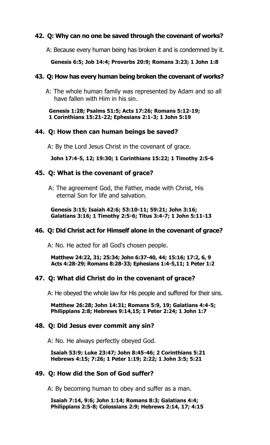# **42. Q: Why can no one be saved through the covenant of works?**

A: Because every human being has broken it and is condemned by it.

#### **Genesis 6:5; Job 14:4; Proverbs 20:9; Romans 3:23; 1 John 1:8**

# **43. Q: How has every human being broken the covenant of works?**

A: The whole human family was represented by Adam and so all have fallen with Him in his sin.

 **Genesis 1:28; Psalms 51:5; Acts 17:26; Romans 5:12-19; 1 Corinthians 15:21-22; Ephesians 2:1-3; 1 John 5:19** 

# **44. Q: How then can human beings be saved?**

A: By the Lord Jesus Christ in the covenant of grace.

 **John 17:4-5, 12; 19:30; 1 Corinthians 15:22; 1 Timothy 2:5-6**

# **45. Q: What is the covenant of grace?**

 A: The agreement God, the Father, made with Christ, His eternal Son for life and salvation.

 **Genesis 3:15; Isaiah 42:6; 53:10-11; 59:21; John 3:16; Galatians 3:16; 1 Timothy 2:5-6; Titus 3:4-7; 1 John 5:11-13**

# **46. Q: Did Christ act for Himself alone in the covenant of grace?**

A: No. He acted for all God's chosen people.

 **Matthew 24:22, 31; 25:34; John 6:37-40, 44; 15:16; 17:2, 6, 9 Acts 4:28-29; Romans 8:28-33; Ephesians 1:4-5,11; 1 Peter 1:2** 

# **47. Q: What did Christ do in the covenant of grace?**

A: He obeyed the whole law for His people and suffered for their sins.

 **Matthew 26:28; John 14:31; Romans 5:9, 19; Galatians 4:4-5; Philippians 2:8; Hebrews 9:14,15; 1 Peter 2:24; 1 John 1:7** 

#### **48. Q: Did Jesus ever commit any sin?**

A: No. He always perfectly obeyed God.

 **Isaiah 53:9; Luke 23:47; John 8:45-46; 2 Corinthians 5:21 Hebrews 4:15; 7:26; 1 Peter 1:19; 2:22; 1 John 3:5; 5:21** 

# **49. Q: How did the Son of God suffer?**

A: By becoming human to obey and suffer as a man.

 **Isaiah 7:14, 9:6; John 1:14; Romans 8:3; Galatians 4:4; Philippians 2:5-8; Colossians 2:9; Hebrews 2:14, 17; 4:15**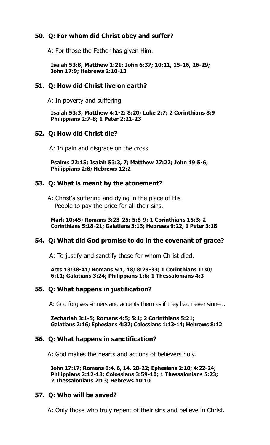# **50. Q: For whom did Christ obey and suffer?**

A: For those the Father has given Him.

 **Isaiah 53:8; Matthew 1:21; John 6:37; 10:11, 15-16, 26-29; John 17:9; Hebrews 2:10-13** 

# **51. Q: How did Christ live on earth?**

A: In poverty and suffering.

 **Isaiah 53:3; Matthew 4:1-2; 8:20; Luke 2:7; 2 Corinthians 8:9 Philippians 2:7-8; 1 Peter 2:21-23** 

# **52. Q: How did Christ die?**

A: In pain and disgrace on the cross.

 **Psalms 22:15; Isaiah 53:3, 7; Matthew 27:22; John 19:5-6; Philippians 2:8; Hebrews 12:2** 

# **53. Q: What is meant by the atonement?**

A: Christ's suffering and dying in the place of His People to pay the price for all their sins.

 **Mark 10:45; Romans 3:23-25; 5:8-9; 1 Corinthians 15:3; 2 Corinthians 5:18-21; Galatians 3:13; Hebrews 9:22; 1 Peter 3:18** 

# **54. Q: What did God promise to do in the covenant of grace?**

A: To justify and sanctify those for whom Christ died.

 **Acts 13:38-41; Romans 5:1, 18; 8:29-33; 1 Corinthians 1:30; 6:11; Galatians 3:24; Philippians 1:6; 1 Thessalonians 4:3** 

# **55. Q: What happens in justification?**

A: God forgives sinners and accepts them as if they had never sinned.

 **Zechariah 3:1-5; Romans 4:5; 5:1; 2 Corinthians 5:21; Galatians 2:16; Ephesians 4:32; Colossians 1:13-14; Hebrews 8:12** 

# **56. Q: What happens in sanctification?**

A: God makes the hearts and actions of believers holy.

 **John 17:17; Romans 6:4, 6, 14, 20-22; Ephesians 2:10; 4:22-24; Philippians 2:12-13; Colossians 3:59-10; 1 Thessalonians 5:23; 2 Thessalonians 2:13; Hebrews 10:10**

# **57. Q: Who will be saved?**

A: Only those who truly repent of their sins and believe in Christ.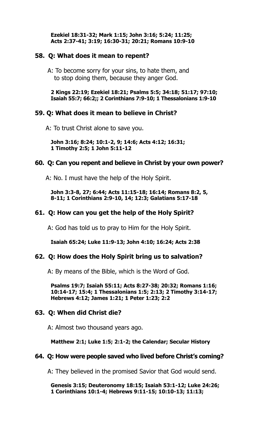**Ezekiel 18:31-32; Mark 1:15; John 3:16; 5:24; 11:25; Acts 2:37-41; 3:19; 16:30-31; 20:21; Romans 10:9-10**

#### **58. Q: What does it mean to repent?**

A: To become sorry for your sins, to hate them, and to stop doing them, because they anger God.

#### **2 Kings 22:19; Ezekiel 18:21; Psalms 5:5; 34:18; 51:17; 97:10; Isaiah 55:7; 66:2;; 2 Corinthians 7:9-10; 1 Thessalonians 1:9-10**

#### **59. Q: What does it mean to believe in Christ?**

A: To trust Christ alone to save you.

 **John 3:16; 8:24; 10:1-2, 9; 14:6; Acts 4:12; 16:31; 1 Timothy 2:5; 1 John 5:11-12** 

#### **60. Q: Can you repent and believe in Christ by your own power?**

A: No. I must have the help of the Holy Spirit.

 **John 3:3-8, 27; 6:44; Acts 11:15-18; 16:14; Romans 8:2, 5, 8-11; 1 Corinthians 2:9-10, 14; 12:3; Galatians 5:17-18**

#### **61. Q: How can you get the help of the Holy Spirit?**

A: God has told us to pray to Him for the Holy Spirit.

 **Isaiah 65:24; Luke 11:9-13; John 4:10; 16:24; Acts 2:38**

#### **62. Q: How does the Holy Spirit bring us to salvation?**

A: By means of the Bible, which is the Word of God.

 **Psalms 19:7; Isaiah 55:11; Acts 8:27-38; 20:32; Romans 1:16; 10:14-17; 15:4; 1 Thessalonians 1:5; 2:13; 2 Timothy 3:14-17; Hebrews 4:12; James 1:21; 1 Peter 1:23; 2:2**

#### **63. Q: When did Christ die?**

A: Almost two thousand years ago.

#### **Matthew 2:1; Luke 1:5; 2:1-2; the Calendar; Secular History**

#### **64. Q: How were people saved who lived before Christ's coming?**

A: They believed in the promised Savior that God would send.

 **Genesis 3:15; Deuteronomy 18:15; Isaiah 53:1-12; Luke 24:26; 1 Corinthians 10:1-4; Hebrews 9:11-15; 10:10-13; 11:13;**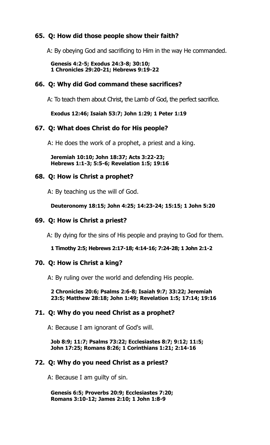# **65. Q: How did those people show their faith?**

A: By obeying God and sacrificing to Him in the way He commanded.

 **Genesis 4:2-5; Exodus 24:3-8; 30:10; 1 Chronicles 29:20-21; Hebrews 9:19-22** 

#### **66. Q: Why did God command these sacrifices?**

A: To teach them about Christ, the Lamb of God, the perfect sacrifice.

 **Exodus 12:46; Isaiah 53:7; John 1:29; 1 Peter 1:19** 

#### **67. Q: What does Christ do for His people?**

A: He does the work of a prophet, a priest and a king.

 **Jeremiah 10:10; John 18:37; Acts 3:22-23; Hebrews 1:1-3; 5:5-6; Revelation 1:5; 19:16** 

#### **68. Q: How is Christ a prophet?**

A: By teaching us the will of God.

 **Deuteronomy 18:15; John 4:25; 14:23-24; 15:15; 1 John 5:20** 

#### **69. Q: How is Christ a priest?**

A: By dying for the sins of His people and praying to God for them.

 **1 Timothy 2:5; Hebrews 2:17-18; 4:14-16; 7:24-28; 1 John 2:1-2** 

#### **70. Q: How is Christ a king?**

A: By ruling over the world and defending His people.

 **2 Chronicles 20:6; Psalms 2:6-8; Isaiah 9:7; 33:22; Jeremiah 23:5; Matthew 28:18; John 1:49; Revelation 1:5; 17:14; 19:16** 

#### **71. Q: Why do you need Christ as a prophet?**

A: Because I am ignorant of God's will.

 **Job 8:9; 11:7; Psalms 73:22; Ecclesiastes 8:7; 9:12; 11:5; John 17:25; Romans 8:26; 1 Corinthians 1:21; 2:14-16** 

#### **72. Q: Why do you need Christ as a priest?**

A: Because I am guilty of sin.

 **Genesis 6:5; Proverbs 20:9; Ecclesiastes 7:20; Romans 3:10-12; James 2:10; 1 John 1:8-9**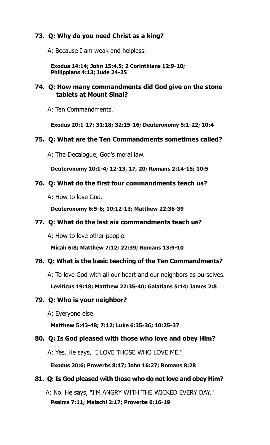# **73. Q: Why do you need Christ as a king?**

A: Because I am weak and helpless.

 **Exodus 14:14; John 15:4,5; 2 Corinthians 12:9-10; Philippians 4:13; Jude 24-25** 

# **74. Q: How many commandments did God give on the stone tablets at Mount Sinai?**

A: Ten Commandments.

 **Exodus 20:1-17; 31:18; 32:15-16; Deuteronomy 5:1-22; 10:4**

# **75. Q: What are the Ten Commandments sometimes called?**

A: The Decalogue, God's moral law.

 **Deuteronomy 10:1-4; 12-13, 17, 20; Romans 2:14-15; 10:5** 

# **76. Q: What do the first four commandments teach us?**

A: How to love God.

 **Deuteronomy 6:5-6; 10:12-13; Matthew 22:36-39** 

# **77. Q: What do the last six commandments teach us?**

A: How to love other people.

 **Micah 6:8; Matthew 7:12; 22:39; Romans 13:9-10**

# **78. Q: What is the basic teaching of the Ten Commandments?**

A: To love God with all our heart and our neighbors as ourselves.

 **Leviticus 19:18; Matthew 22:35-40; Galatians 5:14; James 2:8** 

# **79. Q: Who is your neighbor?**

A: Everyone else.

 **Matthew 5:43-48; 7:12; Luke 6:35-36; 10:25-37** 

# **80. Q: Is God pleased with those who love and obey Him?**

A: Yes. He says, "I LOVE THOSE WHO LOVE ME."

 **Exodus 20:6; Proverbs 8:17; John 16:27; Romans 8:28** 

# **81. Q: Is God pleased with those who do not love and obey Him?**

A: No. He says, "I'M ANGRY WITH THE WICKED EVERY DAY."  **Psalms 7:11; Malachi 2:17; Proverbs 6:16-19**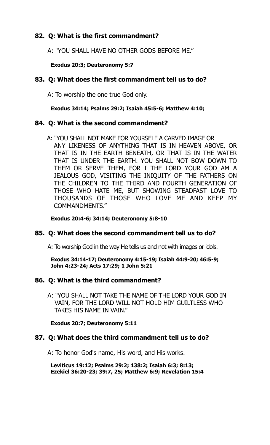# **82. Q: What is the first commandment?**

A: "YOU SHALL HAVE NO OTHER GODS BEFORE ME."

# **Exodus 20:3; Deuteronomy 5:7**

# **83. Q: What does the first commandment tell us to do?**

A: To worship the one true God only.

# **Exodus 34:14; Psalms 29:2; Isaiah 45:5-6; Matthew 4:10;**

# **84. Q: What is the second commandment?**

 A: "YOU SHALL NOT MAKE FOR YOURSELF A CARVED IMAGE OR ANY LIKENESS OF ANYTHING THAT IS IN HEAVEN ABOVE, OR THAT IS IN THE EARTH BENEATH, OR THAT IS IN THE WATER THAT IS UNDER THE EARTH. YOU SHALL NOT BOW DOWN TO THEM OR SERVE THEM, FOR I THE LORD YOUR GOD AM A JEALOUS GOD, VISITING THE INIQUITY OF THE FATHERS ON THE CHILDREN TO THE THIRD AND FOURTH GENERATION OF THOSE WHO HATE ME, BUT SHOWING STEADFAST LOVE TO THOUSANDS OF THOSE WHO LOVE ME AND KEEP MY COMMANDMENTS."

# **Exodus 20:4-6; 34:14; Deuteronomy 5:8-10**

# **85. Q: What does the second commandment tell us to do?**

A: To worship God in the way He tells us and not with images or idols.

 **Exodus 34:14-17; Deuteronomy 4:15-19; Isaiah 44:9-20; 46:5-9; John 4:23-24; Acts 17:29; 1 John 5:21** 

# **86. Q: What is the third commandment?**

A: "YOU SHALL NOT TAKE THE NAME OF THE LORD YOUR GOD IN VAIN, FOR THE LORD WILL NOT HOLD HIM GUILTLESS WHO TAKES HIS NAME IN VAIN."

 **Exodus 20:7; Deuteronomy 5:11** 

# **87. Q: What does the third commandment tell us to do?**

A: To honor God's name, His word, and His works.

 **Leviticus 19:12; Psalms 29:2; 138:2; Isaiah 6:3; 8:13; Ezekiel 36:20-23; 39:7, 25; Matthew 6:9; Revelation 15:4**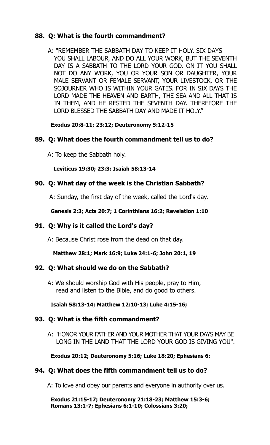# **88. Q: What is the fourth commandment?**

A: "REMEMBER THE SABBATH DAY TO KEEP IT HOLY. SIX DAYS YOU SHALL LABOUR, AND DO ALL YOUR WORK, BUT THE SEVENTH DAY IS A SABBATH TO THE LORD YOUR GOD. ON IT YOU SHALL NOT DO ANY WORK, YOU OR YOUR SON OR DAUGHTER, YOUR MALE SERVANT OR FEMALE SERVANT, YOUR LIVESTOCK, OR THE SOJOURNER WHO IS WITHIN YOUR GATES. FOR IN SIX DAYS THE LORD MADE THE HEAVEN AND EARTH, THE SEA AND ALL THAT IS IN THEM, AND HE RESTED THE SEVENTH DAY. THEREFORE THE LORD BLESSED THE SABBATH DAY AND MADE IT HOLY."

# **Exodus 20:8-11; 23:12; Deuteronomy 5:12-15**

# **89. Q: What does the fourth commandment tell us to do?**

A: To keep the Sabbath holy.

# **Leviticus 19:30; 23:3; Isaiah 58:13-14**

# **90. Q: What day of the week is the Christian Sabbath?**

A: Sunday, the first day of the week, called the Lord's day.

# **Genesis 2:3; Acts 20:7; 1 Corinthians 16:2; Revelation 1:10**

# **91. Q: Why is it called the Lord's day?**

A: Because Christ rose from the dead on that day.

**Matthew 28:1; Mark 16:9; Luke 24:1-6; John 20:1, 19** 

# **92. Q: What should we do on the Sabbath?**

A: We should worship God with His people, pray to Him, read and listen to the Bible, and do good to others.

# **Isaiah 58:13-14; Matthew 12:10-13; Luke 4:15-16;**

# **93. Q: What is the fifth commandment?**

A: "HONOR YOUR FATHER AND YOUR MOTHER THAT YOUR DAYS MAY BE LONG IN THE LAND THAT THE LORD YOUR GOD IS GIVING YOU".

# **Exodus 20:12; Deuteronomy 5:16; Luke 18:20; Ephesians 6:**

# **94. Q: What does the fifth commandment tell us to do?**

A: To love and obey our parents and everyone in authority over us.

 **Exodus 21:15-17; Deuteronomy 21:18-23; Matthew 15:3-6; Romans 13:1-7; Ephesians 6:1-10; Colossians 3:20;**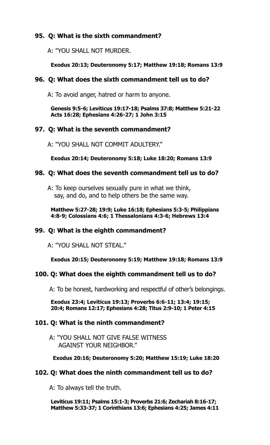# **95. Q: What is the sixth commandment?**

A: "YOU SHALL NOT MURDER.

#### **Exodus 20:13; Deuteronomy 5:17; Matthew 19:18; Romans 13:9**

# **96. Q: What does the sixth commandment tell us to do?**

A: To avoid anger, hatred or harm to anyone.

 **Genesis 9:5-6; Leviticus 19:17-18; Psalms 37:8; Matthew 5:21-22 Acts 16:28; Ephesians 4:26-27; 1 John 3:15** 

# **97. Q: What is the seventh commandment?**

A: "YOU SHALL NOT COMMIT ADULTERY."

 **Exodus 20:14; Deuteronomy 5:18; Luke 18:20; Romans 13:9** 

#### **98. Q: What does the seventh commandment tell us to do?**

A: To keep ourselves sexually pure in what we think, say, and do, and to help others be the same way.

 **Matthew 5:27-28; 19:9; Luke 16:18; Ephesians 5:3-5; Philippians 4:8-9; Colossians 4:6; 1 Thessalonians 4:3-6; Hebrews 13:4**

# **99. Q: What is the eighth commandment?**

A: "YOU SHALL NOT STEAL."

 **Exodus 20:15; Deuteronomy 5:19; Matthew 19:18; Romans 13:9** 

#### **100. Q: What does the eighth commandment tell us to do?**

A: To be honest, hardworking and respectful of other's belongings.

 **Exodus 23:4; Leviticus 19:13; Proverbs 6:6-11; 13:4; 19:15; 20:4; Romans 12:17; Ephesians 4:28; Titus 2:9-10; 1 Peter 4:15** 

#### **101. Q: What is the ninth commandment?**

A: "YOU SHALL NOT GIVE FALSE WITNESS AGAINST YOUR NEIGHBOR."

**Exodus 20:16; Deuteronomy 5:20; Matthew 15:19; Luke 18:20** 

#### **102. Q: What does the ninth commandment tell us to do?**

A: To always tell the truth.

 **Leviticus 19:11; Psalms 15:1-3; Proverbs 21:6; Zechariah 8:16-17; Matthew 5:33-37; 1 Corinthians 13:6; Ephesians 4:25; James 4:11**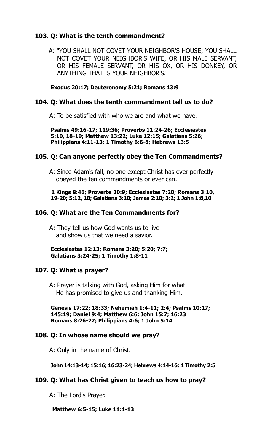# **103. Q: What is the tenth commandment?**

 A: "YOU SHALL NOT COVET YOUR NEIGHBOR'S HOUSE; YOU SHALL NOT COVET YOUR NEIGHBOR'S WIFE, OR HIS MALE SERVANT, OR HIS FEMALE SERVANT, OR HIS OX, OR HIS DONKEY, OR ANYTHING THAT IS YOUR NEIGHBOR'S."

#### **Exodus 20:17; Deuteronomy 5:21; Romans 13:9**

#### **104. Q: What does the tenth commandment tell us to do?**

A: To be satisfied with who we are and what we have.

 **Psalms 49:16-17; 119:36; Proverbs 11:24-26; Ecclesiastes 5:10, 18-19; Matthew 13:22; Luke 12:15; Galatians 5:26; Philippians 4:11-13; 1 Timothy 6:6-8; Hebrews 13:5**

#### **105. Q: Can anyone perfectly obey the Ten Commandments?**

A: Since Adam's fall, no one except Christ has ever perfectly obeyed the ten commandments or ever can.

#### **1 Kings 8:46; Proverbs 20:9; Ecclesiastes 7:20; Romans 3:10, 19-20; 5:12, 18; Galatians 3:10; James 2:10; 3:2; 1 John 1:8,10**

# **106. Q: What are the Ten Commandments for?**

A: They tell us how God wants us to live and show us that we need a savior.

 **Ecclesiastes 12:13; Romans 3:20; 5:20; 7:7; Galatians 3:24-25; 1 Timothy 1:8-11** 

#### **107. Q: What is prayer?**

A: Prayer is talking with God, asking Him for what He has promised to give us and thanking Him.

 **Genesis 17:22; 18:33; Nehemiah 1:4-11; 2:4; Psalms 10:17; 145:19; Daniel 9:4; Matthew 6:6; John 15:7; 16:23 Romans 8:26-27; Philippians 4:6; 1 John 5:14** 

#### **108. Q: In whose name should we pray?**

A: Only in the name of Christ.

 **John 14:13-14; 15:16; 16:23-24; Hebrews 4:14-16; 1 Timothy 2:5** 

#### **109. Q: What has Christ given to teach us how to pray?**

A: The Lord's Prayer.

#### **Matthew 6:5-15; Luke 11:1-13**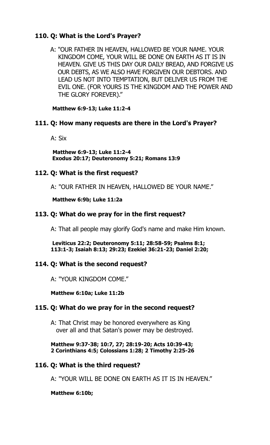# **110. Q: What is the Lord's Prayer?**

A: "OUR FATHER IN HEAVEN, HALLOWED BE YOUR NAME. YOUR KINGDOM COME, YOUR WILL BE DONE ON EARTH AS IT IS IN HEAVEN. GIVE US THIS DAY OUR DAILY BREAD, AND FORGIVE US OUR DEBTS, AS WE ALSO HAVE FORGIVEN OUR DEBTORS. AND LEAD US NOT INTO TEMPTATION, BUT DELIVER US FROM THE EVIL ONE. (FOR YOURS IS THE KINGDOM AND THE POWER AND THE GLORY FOREVER)."

 **Matthew 6:9-13; Luke 11:2-4** 

# **111. Q: How many requests are there in the Lord's Prayer?**

A: Six

 **Matthew 6:9-13; Luke 11:2-4 Exodus 20:17; Deuteronomy 5:21; Romans 13:9** 

# **112. Q: What is the first request?**

A: "OUR FATHER IN HEAVEN, HALLOWED BE YOUR NAME."

 **Matthew 6:9b; Luke 11:2a** 

# **113. Q: What do we pray for in the first request?**

A: That all people may glorify God's name and make Him known.

 **Leviticus 22:2; Deuteronomy 5:11; 28:58-59; Psalms 8:1; 113:1-3; Isaiah 8:13; 29:23; Ezekiel 36:21-23; Daniel 2:20;**

# **114. Q: What is the second request?**

A: "YOUR KINGDOM COME."

 **Matthew 6:10a; Luke 11:2b** 

# **115. Q: What do we pray for in the second request?**

A: That Christ may be honored everywhere as King over all and that Satan's power may be destroyed.

 **Matthew 9:37-38; 10:7, 27; 28:19-20; Acts 10:39-43; 2 Corinthians 4:5; Colossians 1:28; 2 Timothy 2:25-26** 

# **116. Q: What is the third request?**

A: "YOUR WILL BE DONE ON EARTH AS IT IS IN HEAVEN."

#### **Matthew 6:10b;**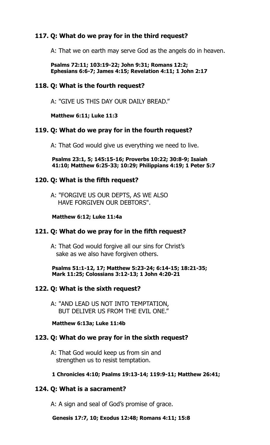# **117. Q: What do we pray for in the third request?**

A: That we on earth may serve God as the angels do in heaven.

 **Psalms 72:11; 103:19-22; John 9:31; Romans 12:2; Ephesians 6:6-7; James 4:15; Revelation 4:11; 1 John 2:17** 

# **118. Q: What is the fourth request?**

A: "GIVE US THIS DAY OUR DAILY BREAD."

 **Matthew 6:11; Luke 11:3** 

# **119. Q: What do we pray for in the fourth request?**

A: That God would give us everything we need to live.

 **Psalms 23:1, 5; 145:15-16; Proverbs 10:22; 30:8-9; Isaiah 41:10; Matthew 6:25-33; 10:29; Philippians 4:19; 1 Peter 5:7** 

#### **120. Q: What is the fifth request?**

A: "FORGIVE US OUR DEPTS, AS WE ALSO HAVE FORGIVEN OUR DEBTORS".

#### **Matthew 6:12; Luke 11:4a**

#### **121. Q: What do we pray for in the fifth request?**

A: That God would forgive all our sins for Christ's sake as we also have forgiven others.

 **Psalms 51:1-12, 17; Matthew 5:23-24; 6:14-15; 18:21-35; Mark 11:25; Colossians 3:12-13; 1 John 4:20-21** 

#### **122. Q: What is the sixth request?**

A: "AND LEAD US NOT INTO TEMPTATION, BUT DELIVER US FROM THE EVIL ONE."

 **Matthew 6:13a; Luke 11:4b**

# **123. Q: What do we pray for in the sixth request?**

A: That God would keep us from sin and strengthen us to resist temptation.

#### **1 Chronicles 4:10; Psalms 19:13-14; 119:9-11; Matthew 26:41;**

# **124. Q: What is a sacrament?**

A: A sign and seal of God's promise of grace.

 **Genesis 17:7, 10; Exodus 12:48; Romans 4:11; 15:8**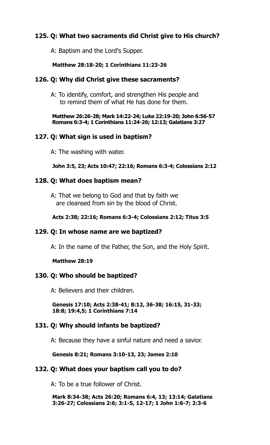# **125. Q: What two sacraments did Christ give to His church?**

A: Baptism and the Lord's Supper.

#### **Matthew 28:18-20; 1 Corinthians 11:23-26**

#### **126. Q: Why did Christ give these sacraments?**

A: To identify, comfort, and strengthen His people and to remind them of what He has done for them.

 **Matthew 26:26-28; Mark 14:22-24; Luke 22:19-20; John 6:56-57 Romans 6:3-4; 1 Corinthians 11:24-26; 12:13; Galatians 3:27** 

#### **127. Q: What sign is used in baptism?**

A: The washing with water.

**John 3:5, 23; Acts 10:47; 22:16; Romans 6:3-4; Colossians 2:12** 

#### **128. Q: What does baptism mean?**

A: That we belong to God and that by faith we are cleansed from sin by the blood of Christ.

#### **Acts 2:38; 22:16; Romans 6:3-4; Colossians 2:12; Titus 3:5**

#### **129. Q: In whose name are we baptized?**

A: In the name of the Father, the Son, and the Holy Spirit.

#### **Matthew 28:19**

#### **130. Q: Who should be baptized?**

A: Believers and their children.

 **Genesis 17:10; Acts 2:38-41; 8:12, 36-38; 16:15, 31-33; 18:8; 19:4,5; 1 Corinthians 7:14** 

#### **131. Q: Why should infants be baptized?**

A: Because they have a sinful nature and need a savior.

#### **Genesis 8:21; Romans 3:10-13, 23; James 2:10**

#### **132. Q: What does your baptism call you to do?**

A: To be a true follower of Christ.

 **Mark 8:34-38; Acts 26:20; Romans 6:4, 13; 13:14; Galatians 3:26-27; Colossians 2:6; 3:1-5, 12-17; 1 John 1:6-7; 2:3-6**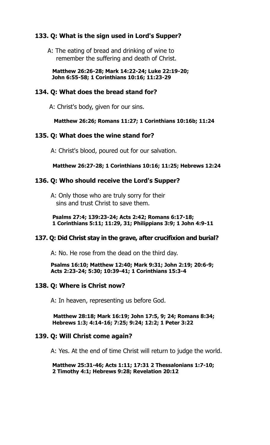# **133. Q: What is the sign used in Lord's Supper?**

A: The eating of bread and drinking of wine to remember the suffering and death of Christ.

 **Matthew 26:26-28; Mark 14:22-24; Luke 22:19-20; John 6:55-58; 1 Corinthians 10:16; 11:23-29** 

#### **134. Q: What does the bread stand for?**

A: Christ's body, given for our sins.

#### **Matthew 26:26; Romans 11:27; 1 Corinthians 10:16b; 11:24**

#### **135. Q: What does the wine stand for?**

A: Christ's blood, poured out for our salvation.

#### **Matthew 26:27-28; 1 Corinthians 10:16; 11:25; Hebrews 12:24**

#### **136. Q: Who should receive the Lord's Supper?**

A: Only those who are truly sorry for their sins and trust Christ to save them.

 **Psalms 27:4; 139:23-24; Acts 2:42; Romans 6:17-18; 1 Corinthians 5:11; 11:29, 31; Philippians 3:9; 1 John 4:9-11** 

#### **137. Q: Did Christ stay in the grave, after crucifixion and burial?**

A: No. He rose from the dead on the third day.

 **Psalms 16:10; Matthew 12:40; Mark 9:31; John 2:19; 20:6-9; Acts 2:23-24; 5:30; 10:39-41; 1 Corinthians 15:3-4** 

#### **138. Q: Where is Christ now?**

A: In heaven, representing us before God.

 **Matthew 28:18; Mark 16:19; John 17:5, 9; 24; Romans 8:34; Hebrews 1:3; 4:14-16; 7:25; 9:24; 12:2; 1 Peter 3:22**

#### **139. Q: Will Christ come again?**

A: Yes. At the end of time Christ will return to judge the world.

 **Matthew 25:31-46; Acts 1:11; 17:31 2 Thessalonians 1:7-10; 2 Timothy 4:1; Hebrews 9:28; Revelation 20:12**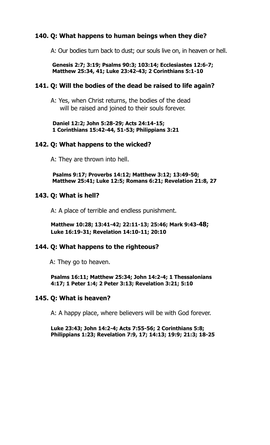# **140. Q: What happens to human beings when they die?**

A: Our bodies turn back to dust; our souls live on, in heaven or hell.

#### **Genesis 2:7; 3:19; Psalms 90:3; 103:14; Ecclesiastes 12:6-7; Matthew 25:34, 41; Luke 23:42-43; 2 Corinthians 5:1-10**

#### **141. Q: Will the bodies of the dead be raised to life again?**

A: Yes, when Christ returns, the bodies of the dead will be raised and joined to their souls forever.

 **Daniel 12:2; John 5:28-29; Acts 24:14-15; 1 Corinthians 15:42-44, 51-53; Philippians 3:21**

#### **142. Q: What happens to the wicked?**

A: They are thrown into hell.

 **Psalms 9:17; Proverbs 14:12; Matthew 3:12; 13:49-50; Matthew 25:41; Luke 12:5; Romans 6:21; Revelation 21:8, 27** 

#### **143. Q: What is hell?**

A: A place of terrible and endless punishment.

 **Matthew 10:28; 13:41-42; 22:11-13; 25:46; Mark 9:43-48; Luke 16:19-31; Revelation 14:10-11; 20:10** 

#### **144. Q: What happens to the righteous?**

A: They go to heaven.

 **Psalms 16:11; Matthew 25:34; John 14:2-4; 1 Thessalonians 4:17; 1 Peter 1:4; 2 Peter 3:13; Revelation 3:21; 5:10**

#### **145. Q: What is heaven?**

A: A happy place, where believers will be with God forever.

 **Luke 23:43; John 14:2-4; Acts 7:55-56; 2 Corinthians 5:8; Philippians 1:23; Revelation 7:9, 17; 14:13; 19:9; 21:3; 18-25**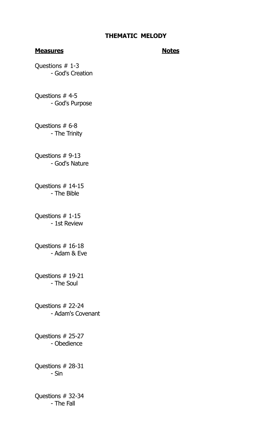#### **Measures** Notes

Questions # 1-3 - God's Creation

Questions # 4-5 - God's Purpose

Questions # 6-8 - The Trinity

Questions # 9-13 - God's Nature

Questions # 14-15 - The Bible

Questions # 1-15 - 1st Review

Questions # 16-18 - Adam & Eve

Questions # 19-21 - The Soul

Questions # 22-24 - Adam's Covenant

Questions # 25-27 - Obedience

Questions # 28-31 - Sin

Questions # 32-34 - The Fall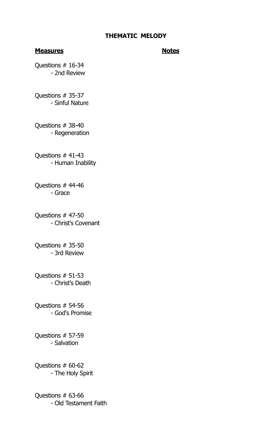#### **Measures** Notes

Questions # 16-34 - 2nd Review

Questions # 35-37 - Sinful Nature

Questions # 38-40 - Regeneration

Questions # 41-43 - Human Inability

Questions # 44-46 - Grace

Questions # 47-50 - Christ's Covenant

Questions # 35-50 - 3rd Review

Questions # 51-53 - Christ's Death

Questions # 54-56 - God's Promise

Questions # 57-59 - Salvation

Questions # 60-62 - The Holy Spirit

Questions # 63-66 - Old Testament Faith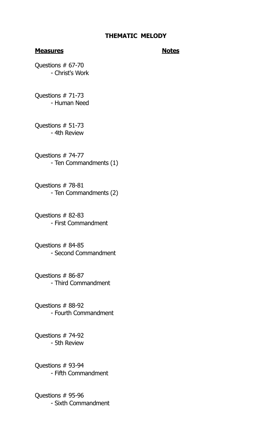#### **Measures** Notes

Questions # 67-70 - Christ's Work

Questions # 71-73 - Human Need

Questions # 51-73 - 4th Review

Questions # 74-77 - Ten Commandments (1)

Questions # 78-81 - Ten Commandments (2)

Questions # 82-83 - First Commandment

Questions # 84-85 - Second Commandment

Questions # 86-87 - Third Commandment

Questions # 88-92 - Fourth Commandment

Questions # 74-92 - 5th Review

Questions # 93-94 - Fifth Commandment

Questions # 95-96 - Sixth Commandment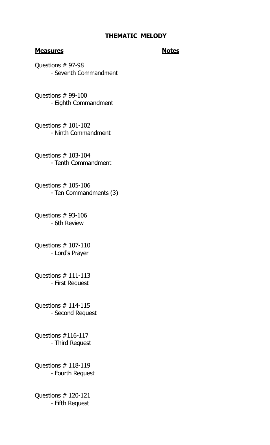#### **Measures** Notes

Questions # 97-98 - Seventh Commandment

Questions # 99-100 - Eighth Commandment

Questions # 101-102 - Ninth Commandment

Questions # 103-104 - Tenth Commandment

Questions # 105-106 - Ten Commandments (3)

Questions # 93-106 - 6th Review

Questions # 107-110 - Lord's Prayer

Questions # 111-113 - First Request

Questions # 114-115 - Second Request

Questions #116-117 - Third Request

Questions # 118-119 - Fourth Request

Questions # 120-121 - Fifth Request